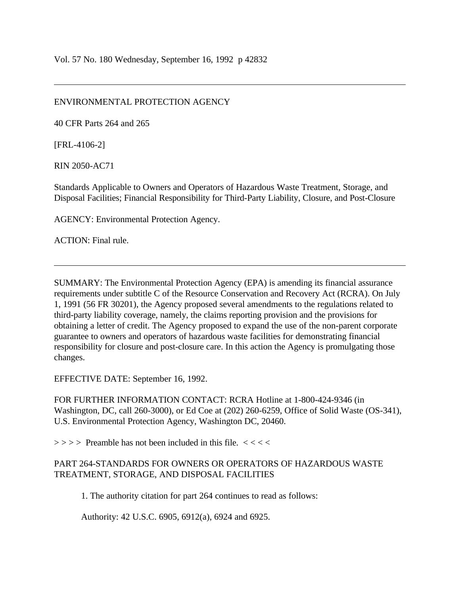## ENVIRONMENTAL PROTECTION AGENCY

40 CFR Parts 264 and 265

[FRL-4106-2]

RIN 2050-AC71

Standards Applicable to Owners and Operators of Hazardous Waste Treatment, Storage, and Disposal Facilities; Financial Responsibility for Third-Party Liability, Closure, and Post-Closure

AGENCY: Environmental Protection Agency.

ACTION: Final rule.

SUMMARY: The Environmental Protection Agency (EPA) is amending its financial assurance requirements under subtitle C of the Resource Conservation and Recovery Act (RCRA). On July 1, 1991 (56 FR 30201), the Agency proposed several amendments to the regulations related to third-party liability coverage, namely, the claims reporting provision and the provisions for obtaining a letter of credit. The Agency proposed to expand the use of the non-parent corporate guarantee to owners and operators of hazardous waste facilities for demonstrating financial responsibility for closure and post-closure care. In this action the Agency is promulgating those changes.

EFFECTIVE DATE: September 16, 1992.

FOR FURTHER INFORMATION CONTACT: RCRA Hotline at 1-800-424-9346 (in Washington, DC, call 260-3000), or Ed Coe at (202) 260-6259, Office of Solid Waste (OS-341), U.S. Environmental Protection Agency, Washington DC, 20460.

 $\Rightarrow$  > > > Preamble has not been included in this file. <<<<<

# PART 264-STANDARDS FOR OWNERS OR OPERATORS OF HAZARDOUS WASTE TREATMENT, STORAGE, AND DISPOSAL FACILITIES

1. The authority citation for part 264 continues to read as follows:

Authority: 42 U.S.C. 6905, 6912(a), 6924 and 6925.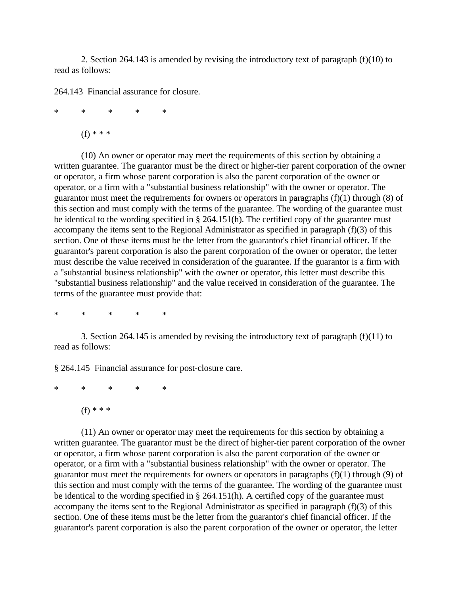2. Section 264.143 is amended by revising the introductory text of paragraph (f)(10) to read as follows:

264.143 Financial assurance for closure.

\* \* \* \* \*

 $(f)$  \* \* \*

(10) An owner or operator may meet the requirements of this section by obtaining a written guarantee. The guarantor must be the direct or higher-tier parent corporation of the owner or operator, a firm whose parent corporation is also the parent corporation of the owner or operator, or a firm with a "substantial business relationship" with the owner or operator. The guarantor must meet the requirements for owners or operators in paragraphs (f)(1) through (8) of this section and must comply with the terms of the guarantee. The wording of the guarantee must be identical to the wording specified in § 264.151(h). The certified copy of the guarantee must accompany the items sent to the Regional Administrator as specified in paragraph (f)(3) of this section. One of these items must be the letter from the guarantor's chief financial officer. If the guarantor's parent corporation is also the parent corporation of the owner or operator, the letter must describe the value received in consideration of the guarantee. If the guarantor is a firm with a "substantial business relationship" with the owner or operator, this letter must describe this "substantial business relationship" and the value received in consideration of the guarantee. The terms of the guarantee must provide that:

\* \* \* \* \*

3. Section 264.145 is amended by revising the introductory text of paragraph (f)(11) to read as follows:

§ 264.145 Financial assurance for post-closure care.

\* \* \* \* \*

 $(f)$  \* \* \*

(11) An owner or operator may meet the requirements for this section by obtaining a written guarantee. The guarantor must be the direct of higher-tier parent corporation of the owner or operator, a firm whose parent corporation is also the parent corporation of the owner or operator, or a firm with a "substantial business relationship" with the owner or operator. The guarantor must meet the requirements for owners or operators in paragraphs  $(f)(1)$  through  $(9)$  of this section and must comply with the terms of the guarantee. The wording of the guarantee must be identical to the wording specified in § 264.151(h). A certified copy of the guarantee must accompany the items sent to the Regional Administrator as specified in paragraph (f)(3) of this section. One of these items must be the letter from the guarantor's chief financial officer. If the guarantor's parent corporation is also the parent corporation of the owner or operator, the letter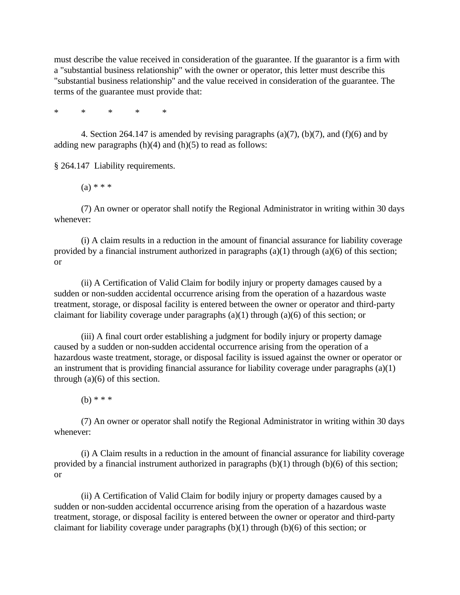must describe the value received in consideration of the guarantee. If the guarantor is a firm with a "substantial business relationship" with the owner or operator, this letter must describe this "substantial business relationship" and the value received in consideration of the guarantee. The terms of the guarantee must provide that:

\* \* \* \* \*

4. Section 264.147 is amended by revising paragraphs (a)(7), (b)(7), and (f)(6) and by adding new paragraphs (h)(4) and (h)(5) to read as follows:

§ 264.147 Liability requirements.

 $(a) * * *$ 

(7) An owner or operator shall notify the Regional Administrator in writing within 30 days whenever:

(i) A claim results in a reduction in the amount of financial assurance for liability coverage provided by a financial instrument authorized in paragraphs  $(a)(1)$  through  $(a)(6)$  of this section; or

(ii) A Certification of Valid Claim for bodily injury or property damages caused by a sudden or non-sudden accidental occurrence arising from the operation of a hazardous waste treatment, storage, or disposal facility is entered between the owner or operator and third-party claimant for liability coverage under paragraphs  $(a)(1)$  through  $(a)(6)$  of this section; or

(iii) A final court order establishing a judgment for bodily injury or property damage caused by a sudden or non-sudden accidental occurrence arising from the operation of a hazardous waste treatment, storage, or disposal facility is issued against the owner or operator or an instrument that is providing financial assurance for liability coverage under paragraphs (a)(1) through (a)(6) of this section.

(b) \* \* \*

(7) An owner or operator shall notify the Regional Administrator in writing within 30 days whenever:

(i) A Claim results in a reduction in the amount of financial assurance for liability coverage provided by a financial instrument authorized in paragraphs  $(b)(1)$  through  $(b)(6)$  of this section; or

(ii) A Certification of Valid Claim for bodily injury or property damages caused by a sudden or non-sudden accidental occurrence arising from the operation of a hazardous waste treatment, storage, or disposal facility is entered between the owner or operator and third-party claimant for liability coverage under paragraphs (b)(1) through (b)(6) of this section; or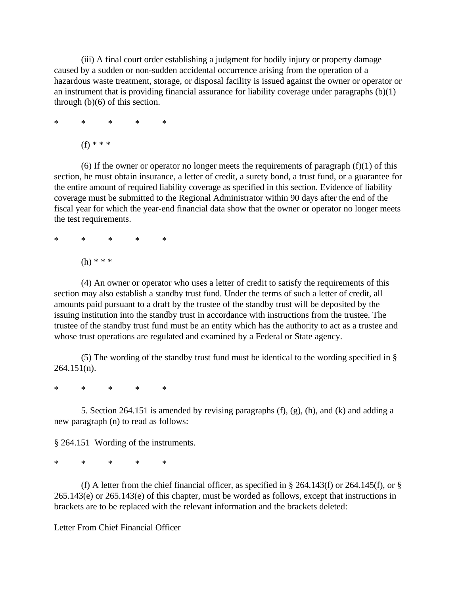(iii) A final court order establishing a judgment for bodily injury or property damage caused by a sudden or non-sudden accidental occurrence arising from the operation of a hazardous waste treatment, storage, or disposal facility is issued against the owner or operator or an instrument that is providing financial assurance for liability coverage under paragraphs (b)(1) through (b)(6) of this section.

$$
\begin{array}{lccccccc}\n\ast & & \ast & & \ast & & \ast \\
\end{array}
$$

(f) \* \* \*

(6) If the owner or operator no longer meets the requirements of paragraph  $(f)(1)$  of this section, he must obtain insurance, a letter of credit, a surety bond, a trust fund, or a guarantee for the entire amount of required liability coverage as specified in this section. Evidence of liability coverage must be submitted to the Regional Administrator within 90 days after the end of the fiscal year for which the year-end financial data show that the owner or operator no longer meets the test requirements.

\* \* \* \* \*

(h) \* \* \*

(4) An owner or operator who uses a letter of credit to satisfy the requirements of this section may also establish a standby trust fund. Under the terms of such a letter of credit, all amounts paid pursuant to a draft by the trustee of the standby trust will be deposited by the issuing institution into the standby trust in accordance with instructions from the trustee. The trustee of the standby trust fund must be an entity which has the authority to act as a trustee and whose trust operations are regulated and examined by a Federal or State agency.

(5) The wording of the standby trust fund must be identical to the wording specified in § 264.151(n).

\* \* \* \* \*

5. Section 264.151 is amended by revising paragraphs (f), (g), (h), and (k) and adding a new paragraph (n) to read as follows:

§ 264.151 Wording of the instruments.

\* \* \* \* \*

(f) A letter from the chief financial officer, as specified in  $\S$  264.143(f) or 264.145(f), or  $\S$ 265.143(e) or 265.143(e) of this chapter, must be worded as follows, except that instructions in brackets are to be replaced with the relevant information and the brackets deleted:

Letter From Chief Financial Officer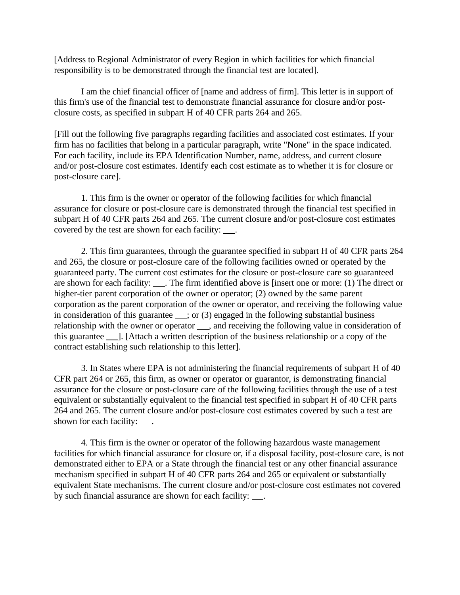[Address to Regional Administrator of every Region in which facilities for which financial responsibility is to be demonstrated through the financial test are located].

I am the chief financial officer of [name and address of firm]. This letter is in support of this firm's use of the financial test to demonstrate financial assurance for closure and/or postclosure costs, as specified in subpart H of 40 CFR parts 264 and 265.

[Fill out the following five paragraphs regarding facilities and associated cost estimates. If your firm has no facilities that belong in a particular paragraph, write "None" in the space indicated. For each facility, include its EPA Identification Number, name, address, and current closure and/or post-closure cost estimates. Identify each cost estimate as to whether it is for closure or post-closure care].

1. This firm is the owner or operator of the following facilities for which financial assurance for closure or post-closure care is demonstrated through the financial test specified in subpart H of 40 CFR parts 264 and 265. The current closure and/or post-closure cost estimates covered by the test are shown for each facility: .

2. This firm guarantees, through the guarantee specified in subpart H of 40 CFR parts 264 and 265, the closure or post-closure care of the following facilities owned or operated by the guaranteed party. The current cost estimates for the closure or post-closure care so guaranteed are shown for each facility: \_\_\_\_. The firm identified above is [insert one or more: (1) The direct or higher-tier parent corporation of the owner or operator; (2) owned by the same parent corporation as the parent corporation of the owner or operator, and receiving the following value in consideration of this guarantee  $\_\_$ ; or (3) engaged in the following substantial business relationship with the owner or operator  $\_\_\_$ , and receiving the following value in consideration of this guarantee ]. [Attach a written description of the business relationship or a copy of the contract establishing such relationship to this letter].

3. In States where EPA is not administering the financial requirements of subpart H of 40 CFR part 264 or 265, this firm, as owner or operator or guarantor, is demonstrating financial assurance for the closure or post-closure care of the following facilities through the use of a test equivalent or substantially equivalent to the financial test specified in subpart H of 40 CFR parts 264 and 265. The current closure and/or post-closure cost estimates covered by such a test are shown for each facility:  $\qquad$ .

4. This firm is the owner or operator of the following hazardous waste management facilities for which financial assurance for closure or, if a disposal facility, post-closure care, is not demonstrated either to EPA or a State through the financial test or any other financial assurance mechanism specified in subpart H of 40 CFR parts 264 and 265 or equivalent or substantially equivalent State mechanisms. The current closure and/or post-closure cost estimates not covered by such financial assurance are shown for each facility:  $\qquad$ .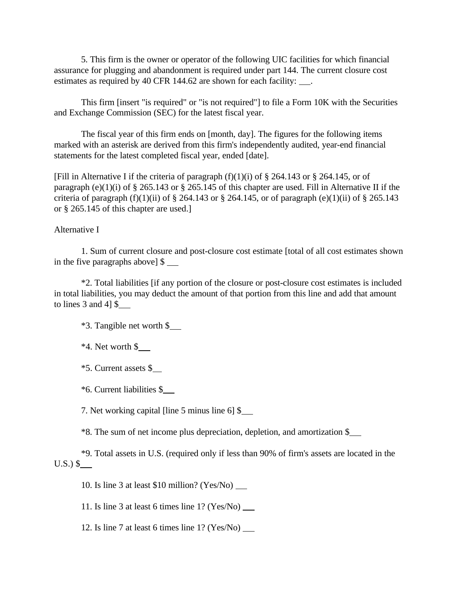5. This firm is the owner or operator of the following UIC facilities for which financial assurance for plugging and abandonment is required under part 144. The current closure cost estimates as required by 40 CFR 144.62 are shown for each facility: \_\_\_.

This firm [insert "is required" or "is not required"] to file a Form 10K with the Securities and Exchange Commission (SEC) for the latest fiscal year.

The fiscal year of this firm ends on [month, day]. The figures for the following items marked with an asterisk are derived from this firm's independently audited, year-end financial statements for the latest completed fiscal year, ended [date].

[Fill in Alternative I if the criteria of paragraph  $(f)(1)(i)$  of § 264.143 or § 264.145, or of paragraph (e)(1)(i) of  $\S$  265.143 or  $\S$  265.145 of this chapter are used. Fill in Alternative II if the criteria of paragraph  $(f)(1)(ii)$  of § 264.143 or § 264.145, or of paragraph (e)(1)(ii) of § 265.143 or § 265.145 of this chapter are used.]

#### Alternative I

1. Sum of current closure and post-closure cost estimate [total of all cost estimates shown in the five paragraphs above] \$

\*2. Total liabilities [if any portion of the closure or post-closure cost estimates is included in total liabilities, you may deduct the amount of that portion from this line and add that amount to lines 3 and 4] \$

\*3. Tangible net worth \$

 $*4.$  Net worth  $\S$ 

\*5. Current assets \$

\*6. Current liabilities \$

7. Net working capital [line 5 minus line 6] \$

\*8. The sum of net income plus depreciation, depletion, and amortization \$

\*9. Total assets in U.S. (required only if less than 90% of firm's assets are located in the  $U.S.$ ) \$

10. Is line 3 at least \$10 million? (Yes/No)

11. Is line 3 at least 6 times line 1? (Yes/No)

12. Is line 7 at least 6 times line 1? (Yes/No)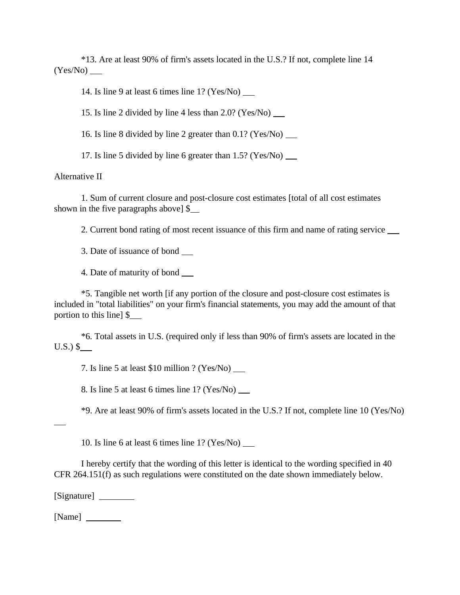\*13. Are at least 90% of firm's assets located in the U.S.? If not, complete line 14 (Yes/No)

14. Is line 9 at least 6 times line 1? (Yes/No)

15. Is line 2 divided by line 4 less than 2.0? (Yes/No)

16. Is line 8 divided by line 2 greater than 0.1? (Yes/No)

17. Is line 5 divided by line 6 greater than 1.5? (Yes/No)

#### Alternative II

1. Sum of current closure and post-closure cost estimates [total of all cost estimates shown in the five paragraphs above] \$

2. Current bond rating of most recent issuance of this firm and name of rating service

3. Date of issuance of bond

4. Date of maturity of bond

\*5. Tangible net worth [if any portion of the closure and post-closure cost estimates is included in "total liabilities" on your firm's financial statements, you may add the amount of that portion to this line] \$

\*6. Total assets in U.S. (required only if less than 90% of firm's assets are located in the  $U.S.$ ) \$

7. Is line 5 at least \$10 million ? (Yes/No)

8. Is line 5 at least 6 times line 1? (Yes/No)

\*9. Are at least 90% of firm's assets located in the U.S.? If not, complete line 10 (Yes/No)

 $\overline{a}$ 

10. Is line 6 at least 6 times line 1? (Yes/No)

I hereby certify that the wording of this letter is identical to the wording specified in 40 CFR 264.151(f) as such regulations were constituted on the date shown immediately below.

[Signature]

[Name]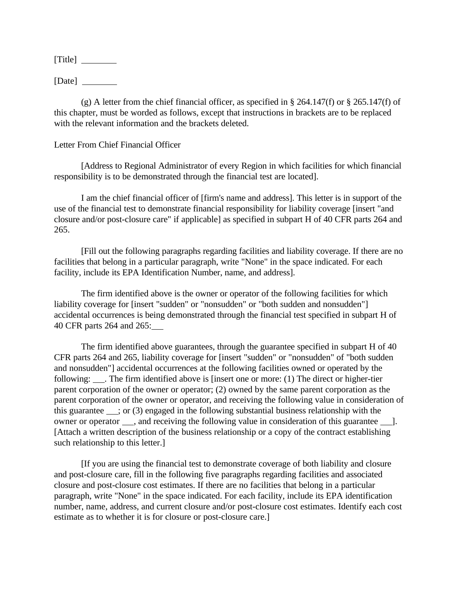[Title]

 $[Date] \_\_$ 

(g) A letter from the chief financial officer, as specified in § 264.147(f) or § 265.147(f) of this chapter, must be worded as follows, except that instructions in brackets are to be replaced with the relevant information and the brackets deleted.

## Letter From Chief Financial Officer

[Address to Regional Administrator of every Region in which facilities for which financial responsibility is to be demonstrated through the financial test are located].

I am the chief financial officer of [firm's name and address]. This letter is in support of the use of the financial test to demonstrate financial responsibility for liability coverage [insert "and closure and/or post-closure care" if applicable] as specified in subpart H of 40 CFR parts 264 and 265.

[Fill out the following paragraphs regarding facilities and liability coverage. If there are no facilities that belong in a particular paragraph, write "None" in the space indicated. For each facility, include its EPA Identification Number, name, and address].

The firm identified above is the owner or operator of the following facilities for which liability coverage for [insert "sudden" or "nonsudden" or "both sudden and nonsudden"] accidental occurrences is being demonstrated through the financial test specified in subpart H of 40 CFR parts 264 and 265:

The firm identified above guarantees, through the guarantee specified in subpart H of 40 CFR parts 264 and 265, liability coverage for [insert "sudden" or "nonsudden" of "both sudden and nonsudden"] accidental occurrences at the following facilities owned or operated by the following: \_\_\_\_. The firm identified above is [insert one or more: (1) The direct or higher-tier parent corporation of the owner or operator; (2) owned by the same parent corporation as the parent corporation of the owner or operator, and receiving the following value in consideration of this guarantee  $\equiv$ ; or (3) engaged in the following substantial business relationship with the owner or operator , and receiving the following value in consideration of this guarantee ]. [Attach a written description of the business relationship or a copy of the contract establishing such relationship to this letter.]

[If you are using the financial test to demonstrate coverage of both liability and closure and post-closure care, fill in the following five paragraphs regarding facilities and associated closure and post-closure cost estimates. If there are no facilities that belong in a particular paragraph, write "None" in the space indicated. For each facility, include its EPA identification number, name, address, and current closure and/or post-closure cost estimates. Identify each cost estimate as to whether it is for closure or post-closure care.]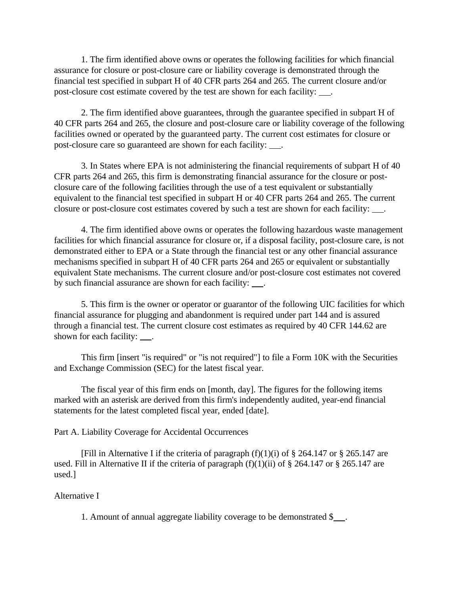1. The firm identified above owns or operates the following facilities for which financial assurance for closure or post-closure care or liability coverage is demonstrated through the financial test specified in subpart H of 40 CFR parts 264 and 265. The current closure and/or post-closure cost estimate covered by the test are shown for each facility: .

2. The firm identified above guarantees, through the guarantee specified in subpart H of 40 CFR parts 264 and 265, the closure and post-closure care or liability coverage of the following facilities owned or operated by the guaranteed party. The current cost estimates for closure or post-closure care so guaranteed are shown for each facility: \_\_\_.

3. In States where EPA is not administering the financial requirements of subpart H of 40 CFR parts 264 and 265, this firm is demonstrating financial assurance for the closure or postclosure care of the following facilities through the use of a test equivalent or substantially equivalent to the financial test specified in subpart H or 40 CFR parts 264 and 265. The current closure or post-closure cost estimates covered by such a test are shown for each facility:  $\qquad$ .

4. The firm identified above owns or operates the following hazardous waste management facilities for which financial assurance for closure or, if a disposal facility, post-closure care, is not demonstrated either to EPA or a State through the financial test or any other financial assurance mechanisms specified in subpart H of 40 CFR parts 264 and 265 or equivalent or substantially equivalent State mechanisms. The current closure and/or post-closure cost estimates not covered by such financial assurance are shown for each facility:  $\qquad$ .

5. This firm is the owner or operator or guarantor of the following UIC facilities for which financial assurance for plugging and abandonment is required under part 144 and is assured through a financial test. The current closure cost estimates as required by 40 CFR 144.62 are shown for each facility: .

This firm [insert "is required" or "is not required"] to file a Form 10K with the Securities and Exchange Commission (SEC) for the latest fiscal year.

The fiscal year of this firm ends on [month, day]. The figures for the following items marked with an asterisk are derived from this firm's independently audited, year-end financial statements for the latest completed fiscal year, ended [date].

Part A. Liability Coverage for Accidental Occurrences

[Fill in Alternative I if the criteria of paragraph  $(f)(1)(i)$  of § 264.147 or § 265.147 are used. Fill in Alternative II if the criteria of paragraph  $(f)(1)(ii)$  of § 264.147 or § 265.147 are used.]

### Alternative I

1. Amount of annual aggregate liability coverage to be demonstrated \$ .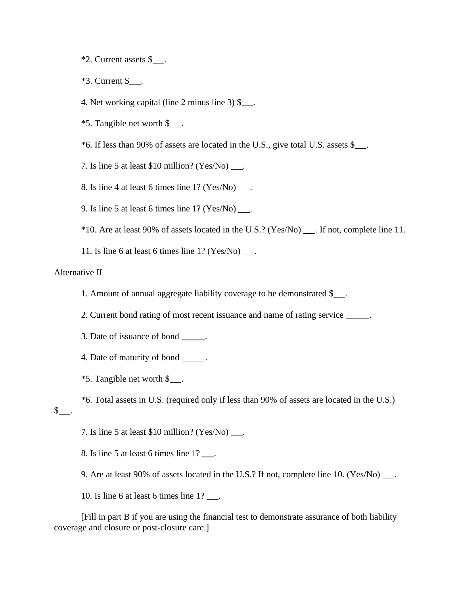- \*2. Current assets \$ .
- $*3$ . Current  $\$\_\_$ .

4. Net working capital (line 2 minus line 3)  $\frac{1}{2}$ .

- $*5$ . Tangible net worth \$ $\ldots$ .
- $*6$ . If less than 90% of assets are located in the U.S., give total U.S. assets \$

7. Is line 5 at least  $$10$  million? (Yes/No) ....

8. Is line 4 at least 6 times line  $1?$  (Yes/No)  $\qquad$ .

9. Is line 5 at least 6 times line  $1?$  (Yes/No)  $\qquad$ .

\*10. Are at least 90% of assets located in the U.S.? (Yes/No) . If not, complete line 11.

11. Is line 6 at least 6 times line  $1?$  (Yes/No)  $\qquad$ .

## Alternative II

- 1. Amount of annual aggregate liability coverage to be demonstrated \$
- 2. Current bond rating of most recent issuance and name of rating service .
- 3. Date of issuance of bond .
- 4. Date of maturity of bond \_\_\_\_\_\_.
- $*5$ . Tangible net worth \$ $\ldots$ .

\*6. Total assets in U.S. (required only if less than 90% of assets are located in the U.S.)

 $\mathbb{S}$  .

7. Is line 5 at least  $$10$  million? (Yes/No) ....

8. Is line 5 at least 6 times line  $1?$   $\qquad$ .

9. Are at least 90% of assets located in the U.S.? If not, complete line 10. (Yes/No) ...

10. Is line 6 at least 6 times line 1? \_\_\_.

[Fill in part B if you are using the financial test to demonstrate assurance of both liability coverage and closure or post-closure care.]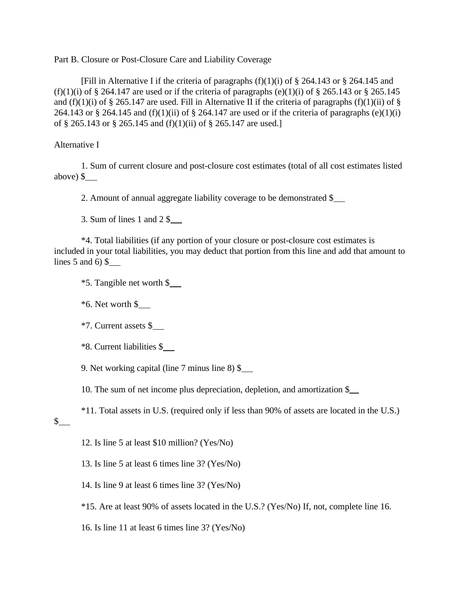Part B. Closure or Post-Closure Care and Liability Coverage

[Fill in Alternative I if the criteria of paragraphs  $(f)(1)(i)$  of § 264.143 or § 264.145 and (f)(1)(i) of  $\S$  264.147 are used or if the criteria of paragraphs (e)(1)(i) of  $\S$  265.143 or  $\S$  265.145 and (f)(1)(i) of § 265.147 are used. Fill in Alternative II if the criteria of paragraphs (f)(1)(ii) of § 264.143 or § 264.145 and (f)(1)(ii) of § 264.147 are used or if the criteria of paragraphs (e)(1)(i) of § 265.143 or § 265.145 and (f)(1)(ii) of § 265.147 are used.]

Alternative I

1. Sum of current closure and post-closure cost estimates (total of all cost estimates listed above)  $\frac{1}{2}$ 

2. Amount of annual aggregate liability coverage to be demonstrated \$

3. Sum of lines 1 and 2 \$

\*4. Total liabilities (if any portion of your closure or post-closure cost estimates is included in your total liabilities, you may deduct that portion from this line and add that amount to lines  $5$  and  $6$ )  $\$$ 

\*5. Tangible net worth \$

\*6. Net worth \$

\*7. Current assets \$

\*8. Current liabilities \$

9. Net working capital (line 7 minus line 8) \$

10. The sum of net income plus depreciation, depletion, and amortization \$

\*11. Total assets in U.S. (required only if less than 90% of assets are located in the U.S.)

 $\frac{1}{2}$ 

12. Is line 5 at least \$10 million? (Yes/No)

13. Is line 5 at least 6 times line 3? (Yes/No)

14. Is line 9 at least 6 times line 3? (Yes/No)

\*15. Are at least 90% of assets located in the U.S.? (Yes/No) If, not, complete line 16.

16. Is line 11 at least 6 times line 3? (Yes/No)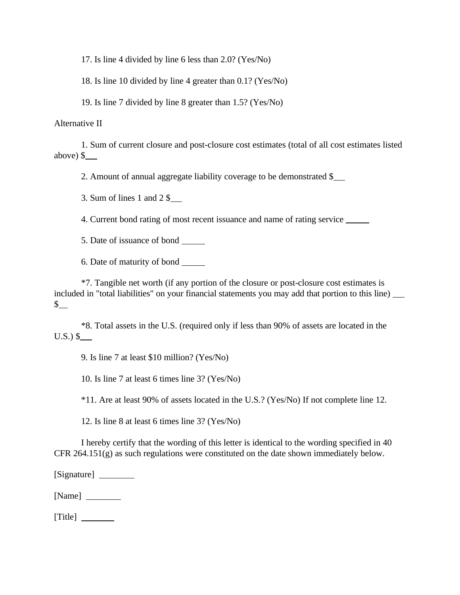17. Is line 4 divided by line 6 less than 2.0? (Yes/No)

18. Is line 10 divided by line 4 greater than 0.1? (Yes/No)

19. Is line 7 divided by line 8 greater than 1.5? (Yes/No)

Alternative II

1. Sum of current closure and post-closure cost estimates (total of all cost estimates listed above) \$

2. Amount of annual aggregate liability coverage to be demonstrated \$

3. Sum of lines 1 and 2 \$

4. Current bond rating of most recent issuance and name of rating service

5. Date of issuance of bond

6. Date of maturity of bond

\*7. Tangible net worth (if any portion of the closure or post-closure cost estimates is included in "total liabilities" on your financial statements you may add that portion to this line)  $\frac{1}{2}$ 

\*8. Total assets in the U.S. (required only if less than 90% of assets are located in the  $U.S.$ ) \$

9. Is line 7 at least \$10 million? (Yes/No)

10. Is line 7 at least 6 times line 3? (Yes/No)

\*11. Are at least 90% of assets located in the U.S.? (Yes/No) If not complete line 12.

12. Is line 8 at least 6 times line 3? (Yes/No)

I hereby certify that the wording of this letter is identical to the wording specified in 40 CFR 264.151(g) as such regulations were constituted on the date shown immediately below.

[Signature]

[Name]

[Title]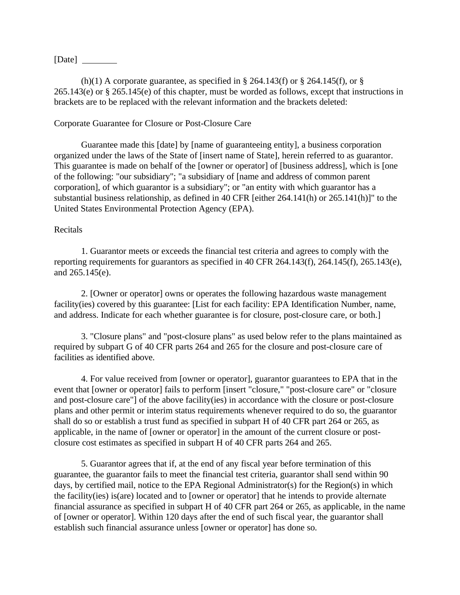[Date]

(h)(1) A corporate guarantee, as specified in  $\S$  264.143(f) or  $\S$  264.145(f), or  $\S$ 265.143(e) or § 265.145(e) of this chapter, must be worded as follows, except that instructions in brackets are to be replaced with the relevant information and the brackets deleted:

### Corporate Guarantee for Closure or Post-Closure Care

Guarantee made this [date] by [name of guaranteeing entity], a business corporation organized under the laws of the State of [insert name of State], herein referred to as guarantor. This guarantee is made on behalf of the [owner or operator] of [business address], which is [one of the following: "our subsidiary"; "a subsidiary of [name and address of common parent corporation], of which guarantor is a subsidiary"; or "an entity with which guarantor has a substantial business relationship, as defined in 40 CFR [either 264.141(h) or 265.141(h)]" to the United States Environmental Protection Agency (EPA).

#### Recitals

1. Guarantor meets or exceeds the financial test criteria and agrees to comply with the reporting requirements for guarantors as specified in 40 CFR 264.143(f), 264.145(f), 265.143(e), and 265.145(e).

2. [Owner or operator] owns or operates the following hazardous waste management facility(ies) covered by this guarantee: [List for each facility: EPA Identification Number, name, and address. Indicate for each whether guarantee is for closure, post-closure care, or both.]

3. "Closure plans" and "post-closure plans" as used below refer to the plans maintained as required by subpart G of 40 CFR parts 264 and 265 for the closure and post-closure care of facilities as identified above.

4. For value received from [owner or operator], guarantor guarantees to EPA that in the event that [owner or operator] fails to perform [insert "closure," "post-closure care" or "closure and post-closure care"] of the above facility(ies) in accordance with the closure or post-closure plans and other permit or interim status requirements whenever required to do so, the guarantor shall do so or establish a trust fund as specified in subpart H of 40 CFR part 264 or 265, as applicable, in the name of [owner or operator] in the amount of the current closure or postclosure cost estimates as specified in subpart H of 40 CFR parts 264 and 265.

5. Guarantor agrees that if, at the end of any fiscal year before termination of this guarantee, the guarantor fails to meet the financial test criteria, guarantor shall send within 90 days, by certified mail, notice to the EPA Regional Administrator(s) for the Region(s) in which the facility(ies) is(are) located and to [owner or operator] that he intends to provide alternate financial assurance as specified in subpart H of 40 CFR part 264 or 265, as applicable, in the name of [owner or operator]. Within 120 days after the end of such fiscal year, the guarantor shall establish such financial assurance unless [owner or operator] has done so.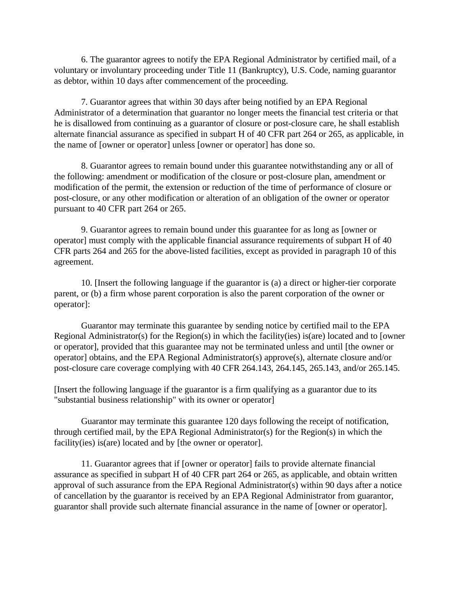6. The guarantor agrees to notify the EPA Regional Administrator by certified mail, of a voluntary or involuntary proceeding under Title 11 (Bankruptcy), U.S. Code, naming guarantor as debtor, within 10 days after commencement of the proceeding.

7. Guarantor agrees that within 30 days after being notified by an EPA Regional Administrator of a determination that guarantor no longer meets the financial test criteria or that he is disallowed from continuing as a guarantor of closure or post-closure care, he shall establish alternate financial assurance as specified in subpart H of 40 CFR part 264 or 265, as applicable, in the name of [owner or operator] unless [owner or operator] has done so.

8. Guarantor agrees to remain bound under this guarantee notwithstanding any or all of the following: amendment or modification of the closure or post-closure plan, amendment or modification of the permit, the extension or reduction of the time of performance of closure or post-closure, or any other modification or alteration of an obligation of the owner or operator pursuant to 40 CFR part 264 or 265.

9. Guarantor agrees to remain bound under this guarantee for as long as [owner or operator] must comply with the applicable financial assurance requirements of subpart H of 40 CFR parts 264 and 265 for the above-listed facilities, except as provided in paragraph 10 of this agreement.

10. [Insert the following language if the guarantor is (a) a direct or higher-tier corporate parent, or (b) a firm whose parent corporation is also the parent corporation of the owner or operator]:

Guarantor may terminate this guarantee by sending notice by certified mail to the EPA Regional Administrator(s) for the Region(s) in which the facility(ies) is(are) located and to [owner or operator], provided that this guarantee may not be terminated unless and until [the owner or operator] obtains, and the EPA Regional Administrator(s) approve(s), alternate closure and/or post-closure care coverage complying with 40 CFR 264.143, 264.145, 265.143, and/or 265.145.

[Insert the following language if the guarantor is a firm qualifying as a guarantor due to its "substantial business relationship" with its owner or operator]

Guarantor may terminate this guarantee 120 days following the receipt of notification, through certified mail, by the EPA Regional Administrator(s) for the Region(s) in which the facility(ies) is(are) located and by [the owner or operator].

11. Guarantor agrees that if [owner or operator] fails to provide alternate financial assurance as specified in subpart H of 40 CFR part 264 or 265, as applicable, and obtain written approval of such assurance from the EPA Regional Administrator(s) within 90 days after a notice of cancellation by the guarantor is received by an EPA Regional Administrator from guarantor, guarantor shall provide such alternate financial assurance in the name of [owner or operator].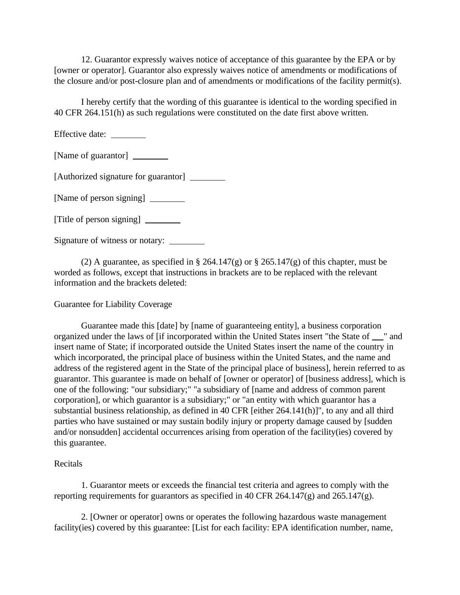12. Guarantor expressly waives notice of acceptance of this guarantee by the EPA or by [owner or operator]. Guarantor also expressly waives notice of amendments or modifications of the closure and/or post-closure plan and of amendments or modifications of the facility permit(s).

I hereby certify that the wording of this guarantee is identical to the wording specified in 40 CFR 264.151(h) as such regulations were constituted on the date first above written.

Effective date:

[Name of guarantor]

[Authorized signature for guarantor] \_\_\_\_\_\_\_\_\_

[Name of person signing]

[Title of person signing]

Signature of witness or notary:

(2) A guarantee, as specified in  $\S 264.147(g)$  or  $\S 265.147(g)$  of this chapter, must be worded as follows, except that instructions in brackets are to be replaced with the relevant information and the brackets deleted:

### Guarantee for Liability Coverage

Guarantee made this [date] by [name of guaranteeing entity], a business corporation organized under the laws of [if incorporated within the United States insert "the State of " and insert name of State; if incorporated outside the United States insert the name of the country in which incorporated, the principal place of business within the United States, and the name and address of the registered agent in the State of the principal place of business], herein referred to as guarantor. This guarantee is made on behalf of [owner or operator] of [business address], which is one of the following: "our subsidiary;" "a subsidiary of [name and address of common parent corporation], or which guarantor is a subsidiary;" or "an entity with which guarantor has a substantial business relationship, as defined in 40 CFR [either 264.141(h)]", to any and all third parties who have sustained or may sustain bodily injury or property damage caused by [sudden and/or nonsudden] accidental occurrences arising from operation of the facility(ies) covered by this guarantee.

#### Recitals

1. Guarantor meets or exceeds the financial test criteria and agrees to comply with the reporting requirements for guarantors as specified in 40 CFR 264.147(g) and 265.147(g).

2. [Owner or operator] owns or operates the following hazardous waste management facility(ies) covered by this guarantee: [List for each facility: EPA identification number, name,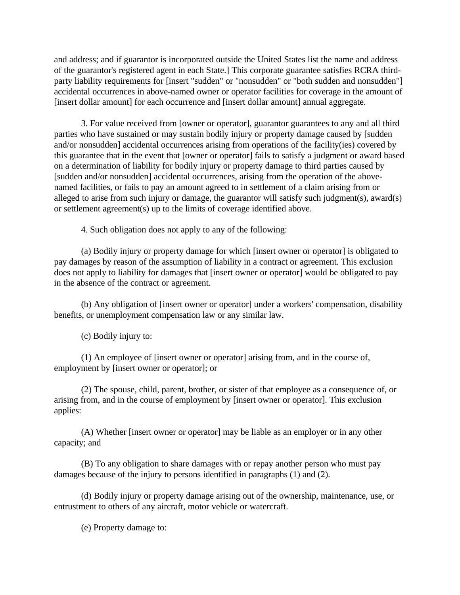and address; and if guarantor is incorporated outside the United States list the name and address of the guarantor's registered agent in each State.] This corporate guarantee satisfies RCRA thirdparty liability requirements for [insert "sudden" or "nonsudden" or "both sudden and nonsudden"] accidental occurrences in above-named owner or operator facilities for coverage in the amount of [insert dollar amount] for each occurrence and [insert dollar amount] annual aggregate.

3. For value received from [owner or operator], guarantor guarantees to any and all third parties who have sustained or may sustain bodily injury or property damage caused by [sudden and/or nonsudden] accidental occurrences arising from operations of the facility(ies) covered by this guarantee that in the event that [owner or operator] fails to satisfy a judgment or award based on a determination of liability for bodily injury or property damage to third parties caused by [sudden and/or nonsudden] accidental occurrences, arising from the operation of the abovenamed facilities, or fails to pay an amount agreed to in settlement of a claim arising from or alleged to arise from such injury or damage, the guarantor will satisfy such judgment(s), award(s) or settlement agreement(s) up to the limits of coverage identified above.

4. Such obligation does not apply to any of the following:

(a) Bodily injury or property damage for which [insert owner or operator] is obligated to pay damages by reason of the assumption of liability in a contract or agreement. This exclusion does not apply to liability for damages that [insert owner or operator] would be obligated to pay in the absence of the contract or agreement.

(b) Any obligation of [insert owner or operator] under a workers' compensation, disability benefits, or unemployment compensation law or any similar law.

(c) Bodily injury to:

(1) An employee of [insert owner or operator] arising from, and in the course of, employment by [insert owner or operator]; or

(2) The spouse, child, parent, brother, or sister of that employee as a consequence of, or arising from, and in the course of employment by [insert owner or operator]. This exclusion applies:

(A) Whether [insert owner or operator] may be liable as an employer or in any other capacity; and

(B) To any obligation to share damages with or repay another person who must pay damages because of the injury to persons identified in paragraphs (1) and (2).

(d) Bodily injury or property damage arising out of the ownership, maintenance, use, or entrustment to others of any aircraft, motor vehicle or watercraft.

(e) Property damage to: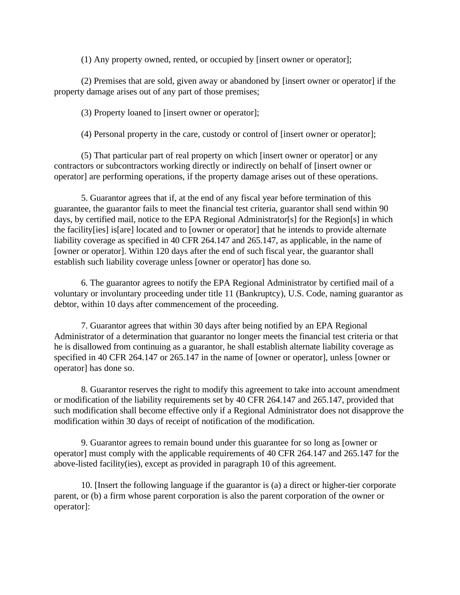(1) Any property owned, rented, or occupied by [insert owner or operator];

(2) Premises that are sold, given away or abandoned by [insert owner or operator] if the property damage arises out of any part of those premises;

(3) Property loaned to [insert owner or operator];

(4) Personal property in the care, custody or control of [insert owner or operator];

(5) That particular part of real property on which [insert owner or operator] or any contractors or subcontractors working directly or indirectly on behalf of [insert owner or operator] are performing operations, if the property damage arises out of these operations.

5. Guarantor agrees that if, at the end of any fiscal year before termination of this guarantee, the guarantor fails to meet the financial test criteria, guarantor shall send within 90 days, by certified mail, notice to the EPA Regional Administrator[s] for the Region[s] in which the facility[ies] is[are] located and to [owner or operator] that he intends to provide alternate liability coverage as specified in 40 CFR 264.147 and 265.147, as applicable, in the name of [owner or operator]. Within 120 days after the end of such fiscal year, the guarantor shall establish such liability coverage unless [owner or operator] has done so.

6. The guarantor agrees to notify the EPA Regional Administrator by certified mail of a voluntary or involuntary proceeding under title 11 (Bankruptcy), U.S. Code, naming guarantor as debtor, within 10 days after commencement of the proceeding.

7. Guarantor agrees that within 30 days after being notified by an EPA Regional Administrator of a determination that guarantor no longer meets the financial test criteria or that he is disallowed from continuing as a guarantor, he shall establish alternate liability coverage as specified in 40 CFR 264.147 or 265.147 in the name of [owner or operator], unless [owner or operator] has done so.

8. Guarantor reserves the right to modify this agreement to take into account amendment or modification of the liability requirements set by 40 CFR 264.147 and 265.147, provided that such modification shall become effective only if a Regional Administrator does not disapprove the modification within 30 days of receipt of notification of the modification.

9. Guarantor agrees to remain bound under this guarantee for so long as [owner or operator] must comply with the applicable requirements of 40 CFR 264.147 and 265.147 for the above-listed facility(ies), except as provided in paragraph 10 of this agreement.

10. [Insert the following language if the guarantor is (a) a direct or higher-tier corporate parent, or (b) a firm whose parent corporation is also the parent corporation of the owner or operator]: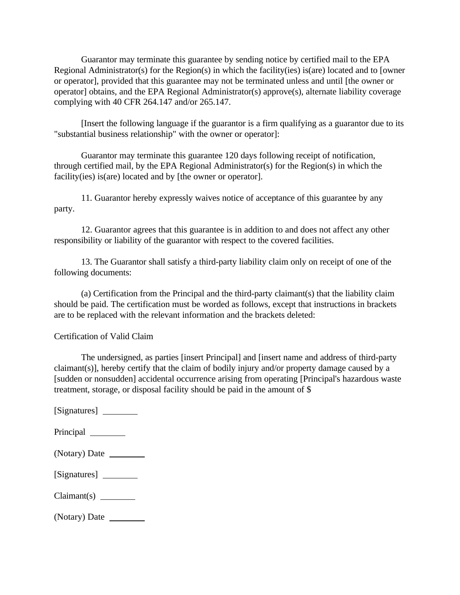Guarantor may terminate this guarantee by sending notice by certified mail to the EPA Regional Administrator(s) for the Region(s) in which the facility(ies) is(are) located and to [owner or operator], provided that this guarantee may not be terminated unless and until [the owner or operator] obtains, and the EPA Regional Administrator(s) approve(s), alternate liability coverage complying with 40 CFR 264.147 and/or 265.147.

[Insert the following language if the guarantor is a firm qualifying as a guarantor due to its "substantial business relationship" with the owner or operator]:

Guarantor may terminate this guarantee 120 days following receipt of notification, through certified mail, by the EPA Regional Administrator(s) for the Region(s) in which the facility(ies) is(are) located and by [the owner or operator].

11. Guarantor hereby expressly waives notice of acceptance of this guarantee by any party.

12. Guarantor agrees that this guarantee is in addition to and does not affect any other responsibility or liability of the guarantor with respect to the covered facilities.

13. The Guarantor shall satisfy a third-party liability claim only on receipt of one of the following documents:

(a) Certification from the Principal and the third-party claimant(s) that the liability claim should be paid. The certification must be worded as follows, except that instructions in brackets are to be replaced with the relevant information and the brackets deleted:

Certification of Valid Claim

The undersigned, as parties [insert Principal] and [insert name and address of third-party claimant(s)], hereby certify that the claim of bodily injury and/or property damage caused by a [sudden or nonsudden] accidental occurrence arising from operating [Principal's hazardous waste treatment, storage, or disposal facility should be paid in the amount of \$

[Signatures]

Principal

| (Notary) Date |  |
|---------------|--|
|---------------|--|

| [Signatures] |  |
|--------------|--|
|--------------|--|

Claimant(s)

(Notary) Date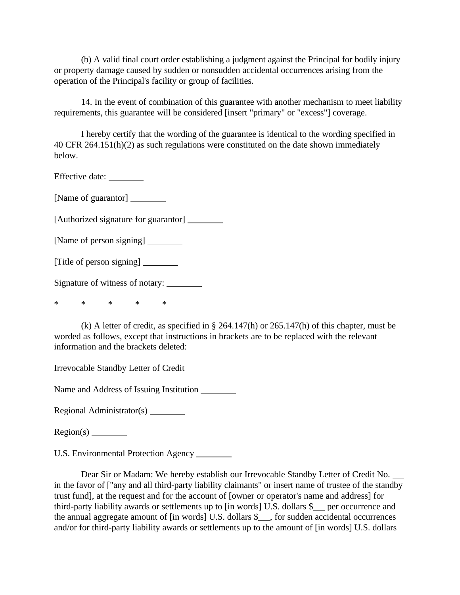(b) A valid final court order establishing a judgment against the Principal for bodily injury or property damage caused by sudden or nonsudden accidental occurrences arising from the operation of the Principal's facility or group of facilities.

14. In the event of combination of this guarantee with another mechanism to meet liability requirements, this guarantee will be considered [insert "primary" or "excess"] coverage.

I hereby certify that the wording of the guarantee is identical to the wording specified in 40 CFR 264.151(h)(2) as such regulations were constituted on the date shown immediately below.

Effective date: \_\_\_\_\_\_\_\_\_

[Name of guarantor]

[Authorized signature for guarantor] \_\_\_\_\_\_\_\_\_

[Name of person signing]

[Title of person signing]

Signature of witness of notary:

\* \* \* \* \*

(k) A letter of credit, as specified in § 264.147(h) or 265.147(h) of this chapter, must be worded as follows, except that instructions in brackets are to be replaced with the relevant information and the brackets deleted:

Irrevocable Standby Letter of Credit

Name and Address of Issuing Institution

Regional Administrator(s)

Region(s)

U.S. Environmental Protection Agency \_\_\_\_\_\_\_\_

Dear Sir or Madam: We hereby establish our Irrevocable Standby Letter of Credit No. in the favor of ["any and all third-party liability claimants" or insert name of trustee of the standby trust fund], at the request and for the account of [owner or operator's name and address] for third-party liability awards or settlements up to  $\left[\text{in words}\right]$  U.S. dollars  $\frac{1}{2}$  per occurrence and the annual aggregate amount of [in words] U.S. dollars \$ , for sudden accidental occurrences and/or for third-party liability awards or settlements up to the amount of [in words] U.S. dollars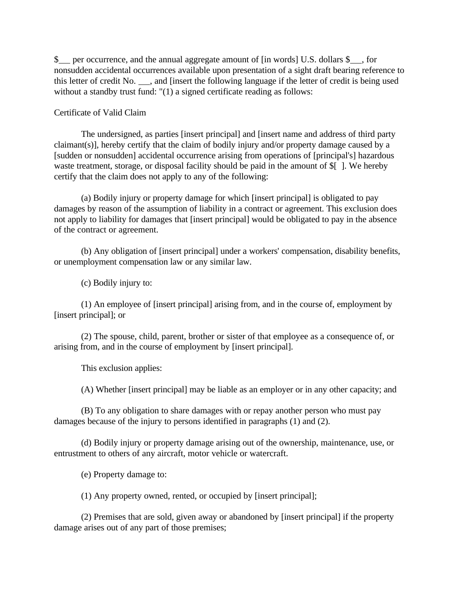\$ per occurrence, and the annual aggregate amount of [in words] U.S. dollars \$ , for nonsudden accidental occurrences available upon presentation of a sight draft bearing reference to this letter of credit No.  $\Box$ , and [insert the following language if the letter of credit is being used without a standby trust fund: "(1) a signed certificate reading as follows:

#### Certificate of Valid Claim

The undersigned, as parties [insert principal] and [insert name and address of third party claimant(s)], hereby certify that the claim of bodily injury and/or property damage caused by a [sudden or nonsudden] accidental occurrence arising from operations of [principal's] hazardous waste treatment, storage, or disposal facility should be paid in the amount of  $\frac{1}{2}$ . We hereby certify that the claim does not apply to any of the following:

(a) Bodily injury or property damage for which [insert principal] is obligated to pay damages by reason of the assumption of liability in a contract or agreement. This exclusion does not apply to liability for damages that [insert principal] would be obligated to pay in the absence of the contract or agreement.

(b) Any obligation of [insert principal] under a workers' compensation, disability benefits, or unemployment compensation law or any similar law.

(c) Bodily injury to:

(1) An employee of [insert principal] arising from, and in the course of, employment by [insert principal]; or

(2) The spouse, child, parent, brother or sister of that employee as a consequence of, or arising from, and in the course of employment by [insert principal].

This exclusion applies:

(A) Whether [insert principal] may be liable as an employer or in any other capacity; and

(B) To any obligation to share damages with or repay another person who must pay damages because of the injury to persons identified in paragraphs (1) and (2).

(d) Bodily injury or property damage arising out of the ownership, maintenance, use, or entrustment to others of any aircraft, motor vehicle or watercraft.

(e) Property damage to:

(1) Any property owned, rented, or occupied by [insert principal];

(2) Premises that are sold, given away or abandoned by [insert principal] if the property damage arises out of any part of those premises;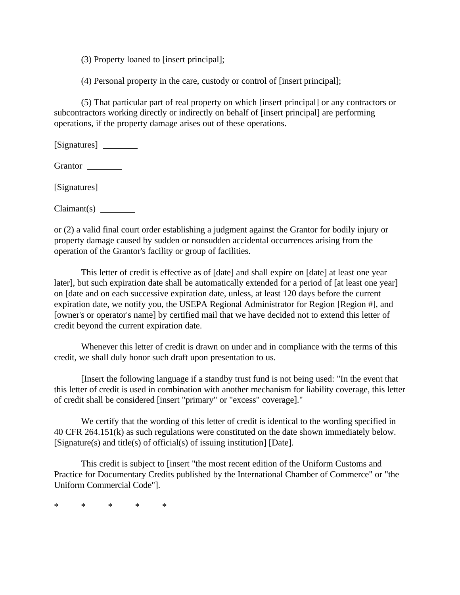(3) Property loaned to [insert principal];

(4) Personal property in the care, custody or control of [insert principal];

(5) That particular part of real property on which [insert principal] or any contractors or subcontractors working directly or indirectly on behalf of [insert principal] are performing operations, if the property damage arises out of these operations.

[Signatures]

Grantor \_\_

[Signatures]

Claimant(s)

or (2) a valid final court order establishing a judgment against the Grantor for bodily injury or property damage caused by sudden or nonsudden accidental occurrences arising from the operation of the Grantor's facility or group of facilities.

This letter of credit is effective as of [date] and shall expire on [date] at least one year later], but such expiration date shall be automatically extended for a period of [at least one year] on [date and on each successive expiration date, unless, at least 120 days before the current expiration date, we notify you, the USEPA Regional Administrator for Region [Region #], and [owner's or operator's name] by certified mail that we have decided not to extend this letter of credit beyond the current expiration date.

Whenever this letter of credit is drawn on under and in compliance with the terms of this credit, we shall duly honor such draft upon presentation to us.

[Insert the following language if a standby trust fund is not being used: "In the event that this letter of credit is used in combination with another mechanism for liability coverage, this letter of credit shall be considered [insert "primary" or "excess" coverage]."

We certify that the wording of this letter of credit is identical to the wording specified in 40 CFR 264.151(k) as such regulations were constituted on the date shown immediately below. [Signature(s) and title(s) of official(s) of issuing institution] [Date].

This credit is subject to [insert "the most recent edition of the Uniform Customs and Practice for Documentary Credits published by the International Chamber of Commerce" or "the Uniform Commercial Code"].

\* \* \* \* \*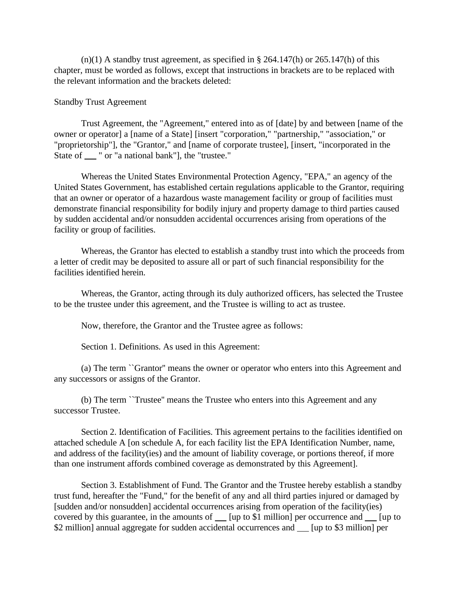$(n)(1)$  A standby trust agreement, as specified in § 264.147(h) or 265.147(h) of this chapter, must be worded as follows, except that instructions in brackets are to be replaced with the relevant information and the brackets deleted:

#### Standby Trust Agreement

Trust Agreement, the "Agreement," entered into as of [date] by and between [name of the owner or operator] a [name of a State] [insert "corporation," "partnership," "association," or "proprietorship"], the "Grantor," and [name of corporate trustee], [insert, "incorporated in the State of " or "a national bank", the "trustee."

Whereas the United States Environmental Protection Agency, "EPA," an agency of the United States Government, has established certain regulations applicable to the Grantor, requiring that an owner or operator of a hazardous waste management facility or group of facilities must demonstrate financial responsibility for bodily injury and property damage to third parties caused by sudden accidental and/or nonsudden accidental occurrences arising from operations of the facility or group of facilities.

Whereas, the Grantor has elected to establish a standby trust into which the proceeds from a letter of credit may be deposited to assure all or part of such financial responsibility for the facilities identified herein.

Whereas, the Grantor, acting through its duly authorized officers, has selected the Trustee to be the trustee under this agreement, and the Trustee is willing to act as trustee.

Now, therefore, the Grantor and the Trustee agree as follows:

Section 1. Definitions. As used in this Agreement:

(a) The term ``Grantor'' means the owner or operator who enters into this Agreement and any successors or assigns of the Grantor.

(b) The term ``Trustee'' means the Trustee who enters into this Agreement and any successor Trustee.

Section 2. Identification of Facilities. This agreement pertains to the facilities identified on attached schedule A [on schedule A, for each facility list the EPA Identification Number, name, and address of the facility(ies) and the amount of liability coverage, or portions thereof, if more than one instrument affords combined coverage as demonstrated by this Agreement].

Section 3. Establishment of Fund. The Grantor and the Trustee hereby establish a standby trust fund, hereafter the "Fund," for the benefit of any and all third parties injured or damaged by [sudden and/or nonsudden] accidental occurrences arising from operation of the facility(ies) covered by this guarantee, in the amounts of  $\Box$  [up to \$1 million] per occurrence and  $\Box$  [up to \$2 million] annual aggregate for sudden accidental occurrences and \_\_ [up to \$3 million] per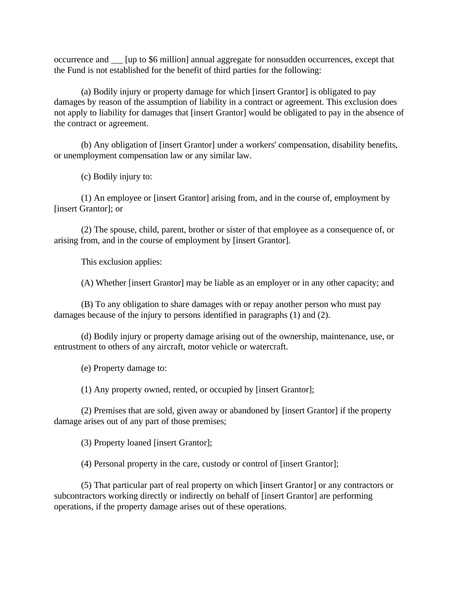occurrence and  $\Box$  [up to \$6 million] annual aggregate for nonsudden occurrences, except that the Fund is not established for the benefit of third parties for the following:

(a) Bodily injury or property damage for which [insert Grantor] is obligated to pay damages by reason of the assumption of liability in a contract or agreement. This exclusion does not apply to liability for damages that [insert Grantor] would be obligated to pay in the absence of the contract or agreement.

(b) Any obligation of [insert Grantor] under a workers' compensation, disability benefits, or unemployment compensation law or any similar law.

(c) Bodily injury to:

(1) An employee or [insert Grantor] arising from, and in the course of, employment by [insert Grantor]; or

(2) The spouse, child, parent, brother or sister of that employee as a consequence of, or arising from, and in the course of employment by [insert Grantor].

This exclusion applies:

(A) Whether [insert Grantor] may be liable as an employer or in any other capacity; and

(B) To any obligation to share damages with or repay another person who must pay damages because of the injury to persons identified in paragraphs (1) and (2).

(d) Bodily injury or property damage arising out of the ownership, maintenance, use, or entrustment to others of any aircraft, motor vehicle or watercraft.

(e) Property damage to:

(1) Any property owned, rented, or occupied by [insert Grantor];

(2) Premises that are sold, given away or abandoned by [insert Grantor] if the property damage arises out of any part of those premises;

(3) Property loaned [insert Grantor];

(4) Personal property in the care, custody or control of [insert Grantor];

(5) That particular part of real property on which [insert Grantor] or any contractors or subcontractors working directly or indirectly on behalf of [insert Grantor] are performing operations, if the property damage arises out of these operations.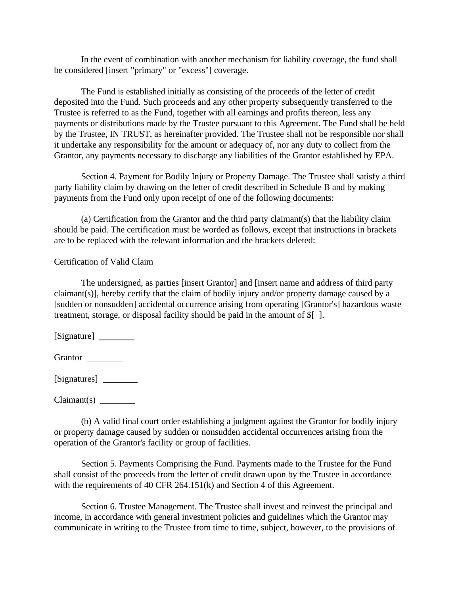In the event of combination with another mechanism for liability coverage, the fund shall be considered [insert "primary" or "excess"] coverage.

The Fund is established initially as consisting of the proceeds of the letter of credit deposited into the Fund. Such proceeds and any other property subsequently transferred to the Trustee is referred to as the Fund, together with all earnings and profits thereon, less any payments or distributions made by the Trustee pursuant to this Agreement. The Fund shall be held by the Trustee, IN TRUST, as hereinafter provided. The Trustee shall not be responsible nor shall it undertake any responsibility for the amount or adequacy of, nor any duty to collect from the Grantor, any payments necessary to discharge any liabilities of the Grantor established by EPA.

Section 4. Payment for Bodily Injury or Property Damage. The Trustee shall satisfy a third party liability claim by drawing on the letter of credit described in Schedule B and by making payments from the Fund only upon receipt of one of the following documents:

(a) Certification from the Grantor and the third party claimant(s) that the liability claim should be paid. The certification must be worded as follows, except that instructions in brackets are to be replaced with the relevant information and the brackets deleted:

## Certification of Valid Claim

The undersigned, as parties [insert Grantor] and [insert name and address of third party claimant(s)], hereby certify that the claim of bodily injury and/or property damage caused by a [sudden or nonsudden] accidental occurrence arising from operating [Grantor's] hazardous waste treatment, storage, or disposal facility should be paid in the amount of \$[ ].

[Signature]

Grantor \_\_\_\_\_\_\_\_\_\_\_

[Signatures] \_\_\_\_\_\_\_\_\_

Claimant(s)

(b) A valid final court order establishing a judgment against the Grantor for bodily injury or property damage caused by sudden or nonsudden accidental occurrences arising from the operation of the Grantor's facility or group of facilities.

Section 5. Payments Comprising the Fund. Payments made to the Trustee for the Fund shall consist of the proceeds from the letter of credit drawn upon by the Trustee in accordance with the requirements of 40 CFR 264.151(k) and Section 4 of this Agreement.

Section 6. Trustee Management. The Trustee shall invest and reinvest the principal and income, in accordance with general investment policies and guidelines which the Grantor may communicate in writing to the Trustee from time to time, subject, however, to the provisions of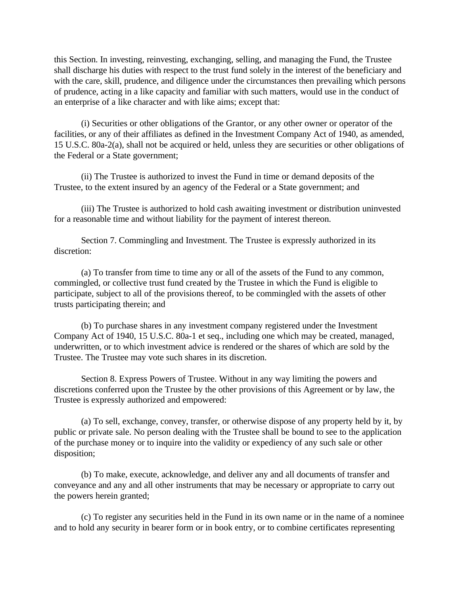this Section. In investing, reinvesting, exchanging, selling, and managing the Fund, the Trustee shall discharge his duties with respect to the trust fund solely in the interest of the beneficiary and with the care, skill, prudence, and diligence under the circumstances then prevailing which persons of prudence, acting in a like capacity and familiar with such matters, would use in the conduct of an enterprise of a like character and with like aims; except that:

(i) Securities or other obligations of the Grantor, or any other owner or operator of the facilities, or any of their affiliates as defined in the Investment Company Act of 1940, as amended, 15 U.S.C. 80a-2(a), shall not be acquired or held, unless they are securities or other obligations of the Federal or a State government;

(ii) The Trustee is authorized to invest the Fund in time or demand deposits of the Trustee, to the extent insured by an agency of the Federal or a State government; and

(iii) The Trustee is authorized to hold cash awaiting investment or distribution uninvested for a reasonable time and without liability for the payment of interest thereon.

Section 7. Commingling and Investment. The Trustee is expressly authorized in its discretion:

(a) To transfer from time to time any or all of the assets of the Fund to any common, commingled, or collective trust fund created by the Trustee in which the Fund is eligible to participate, subject to all of the provisions thereof, to be commingled with the assets of other trusts participating therein; and

(b) To purchase shares in any investment company registered under the Investment Company Act of 1940, 15 U.S.C. 80a-1 et seq., including one which may be created, managed, underwritten, or to which investment advice is rendered or the shares of which are sold by the Trustee. The Trustee may vote such shares in its discretion.

Section 8. Express Powers of Trustee. Without in any way limiting the powers and discretions conferred upon the Trustee by the other provisions of this Agreement or by law, the Trustee is expressly authorized and empowered:

(a) To sell, exchange, convey, transfer, or otherwise dispose of any property held by it, by public or private sale. No person dealing with the Trustee shall be bound to see to the application of the purchase money or to inquire into the validity or expediency of any such sale or other disposition;

(b) To make, execute, acknowledge, and deliver any and all documents of transfer and conveyance and any and all other instruments that may be necessary or appropriate to carry out the powers herein granted;

(c) To register any securities held in the Fund in its own name or in the name of a nominee and to hold any security in bearer form or in book entry, or to combine certificates representing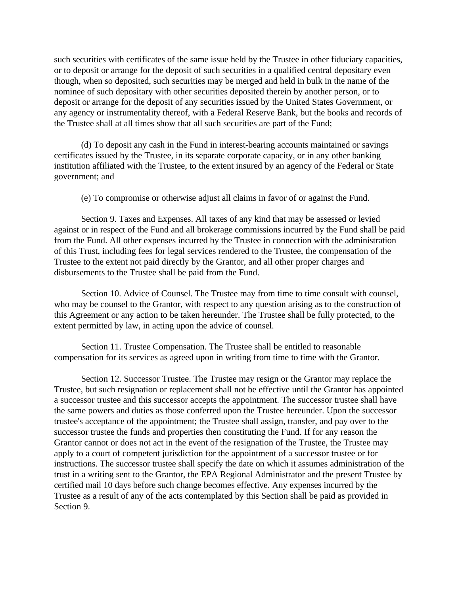such securities with certificates of the same issue held by the Trustee in other fiduciary capacities, or to deposit or arrange for the deposit of such securities in a qualified central depositary even though, when so deposited, such securities may be merged and held in bulk in the name of the nominee of such depositary with other securities deposited therein by another person, or to deposit or arrange for the deposit of any securities issued by the United States Government, or any agency or instrumentality thereof, with a Federal Reserve Bank, but the books and records of the Trustee shall at all times show that all such securities are part of the Fund;

(d) To deposit any cash in the Fund in interest-bearing accounts maintained or savings certificates issued by the Trustee, in its separate corporate capacity, or in any other banking institution affiliated with the Trustee, to the extent insured by an agency of the Federal or State government; and

(e) To compromise or otherwise adjust all claims in favor of or against the Fund.

Section 9. Taxes and Expenses. All taxes of any kind that may be assessed or levied against or in respect of the Fund and all brokerage commissions incurred by the Fund shall be paid from the Fund. All other expenses incurred by the Trustee in connection with the administration of this Trust, including fees for legal services rendered to the Trustee, the compensation of the Trustee to the extent not paid directly by the Grantor, and all other proper charges and disbursements to the Trustee shall be paid from the Fund.

Section 10. Advice of Counsel. The Trustee may from time to time consult with counsel, who may be counsel to the Grantor, with respect to any question arising as to the construction of this Agreement or any action to be taken hereunder. The Trustee shall be fully protected, to the extent permitted by law, in acting upon the advice of counsel.

Section 11. Trustee Compensation. The Trustee shall be entitled to reasonable compensation for its services as agreed upon in writing from time to time with the Grantor.

Section 12. Successor Trustee. The Trustee may resign or the Grantor may replace the Trustee, but such resignation or replacement shall not be effective until the Grantor has appointed a successor trustee and this successor accepts the appointment. The successor trustee shall have the same powers and duties as those conferred upon the Trustee hereunder. Upon the successor trustee's acceptance of the appointment; the Trustee shall assign, transfer, and pay over to the successor trustee the funds and properties then constituting the Fund. If for any reason the Grantor cannot or does not act in the event of the resignation of the Trustee, the Trustee may apply to a court of competent jurisdiction for the appointment of a successor trustee or for instructions. The successor trustee shall specify the date on which it assumes administration of the trust in a writing sent to the Grantor, the EPA Regional Administrator and the present Trustee by certified mail 10 days before such change becomes effective. Any expenses incurred by the Trustee as a result of any of the acts contemplated by this Section shall be paid as provided in Section 9.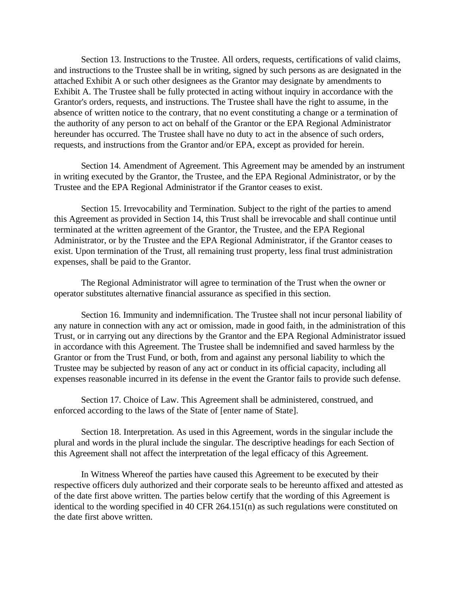Section 13. Instructions to the Trustee. All orders, requests, certifications of valid claims, and instructions to the Trustee shall be in writing, signed by such persons as are designated in the attached Exhibit A or such other designees as the Grantor may designate by amendments to Exhibit A. The Trustee shall be fully protected in acting without inquiry in accordance with the Grantor's orders, requests, and instructions. The Trustee shall have the right to assume, in the absence of written notice to the contrary, that no event constituting a change or a termination of the authority of any person to act on behalf of the Grantor or the EPA Regional Administrator hereunder has occurred. The Trustee shall have no duty to act in the absence of such orders, requests, and instructions from the Grantor and/or EPA, except as provided for herein.

Section 14. Amendment of Agreement. This Agreement may be amended by an instrument in writing executed by the Grantor, the Trustee, and the EPA Regional Administrator, or by the Trustee and the EPA Regional Administrator if the Grantor ceases to exist.

Section 15. Irrevocability and Termination. Subject to the right of the parties to amend this Agreement as provided in Section 14, this Trust shall be irrevocable and shall continue until terminated at the written agreement of the Grantor, the Trustee, and the EPA Regional Administrator, or by the Trustee and the EPA Regional Administrator, if the Grantor ceases to exist. Upon termination of the Trust, all remaining trust property, less final trust administration expenses, shall be paid to the Grantor.

The Regional Administrator will agree to termination of the Trust when the owner or operator substitutes alternative financial assurance as specified in this section.

Section 16. Immunity and indemnification. The Trustee shall not incur personal liability of any nature in connection with any act or omission, made in good faith, in the administration of this Trust, or in carrying out any directions by the Grantor and the EPA Regional Administrator issued in accordance with this Agreement. The Trustee shall be indemnified and saved harmless by the Grantor or from the Trust Fund, or both, from and against any personal liability to which the Trustee may be subjected by reason of any act or conduct in its official capacity, including all expenses reasonable incurred in its defense in the event the Grantor fails to provide such defense.

Section 17. Choice of Law. This Agreement shall be administered, construed, and enforced according to the laws of the State of [enter name of State].

Section 18. Interpretation. As used in this Agreement, words in the singular include the plural and words in the plural include the singular. The descriptive headings for each Section of this Agreement shall not affect the interpretation of the legal efficacy of this Agreement.

In Witness Whereof the parties have caused this Agreement to be executed by their respective officers duly authorized and their corporate seals to be hereunto affixed and attested as of the date first above written. The parties below certify that the wording of this Agreement is identical to the wording specified in 40 CFR 264.151(n) as such regulations were constituted on the date first above written.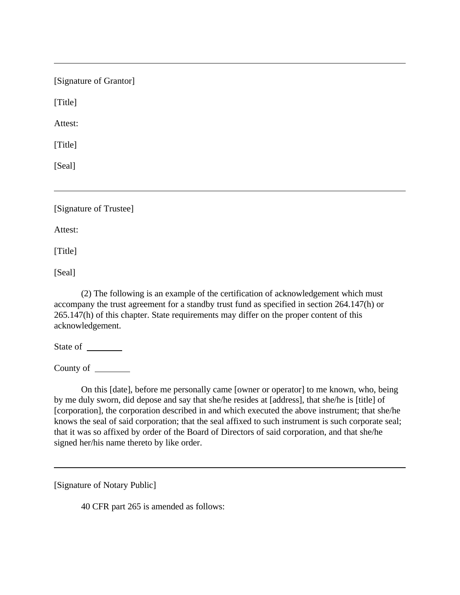| [Signature of Grantor] |  |
|------------------------|--|
| [Title]                |  |
| Attest:                |  |
| [Title]                |  |
| [Seal]                 |  |
|                        |  |
| [Signature of Trustee] |  |
| Attest:                |  |
| [Title]                |  |

[Seal]

(2) The following is an example of the certification of acknowledgement which must accompany the trust agreement for a standby trust fund as specified in section 264.147(h) or 265.147(h) of this chapter. State requirements may differ on the proper content of this acknowledgement.

State of

County of

On this [date], before me personally came [owner or operator] to me known, who, being by me duly sworn, did depose and say that she/he resides at [address], that she/he is [title] of [corporation], the corporation described in and which executed the above instrument; that she/he knows the seal of said corporation; that the seal affixed to such instrument is such corporate seal; that it was so affixed by order of the Board of Directors of said corporation, and that she/he signed her/his name thereto by like order.

[Signature of Notary Public]

40 CFR part 265 is amended as follows: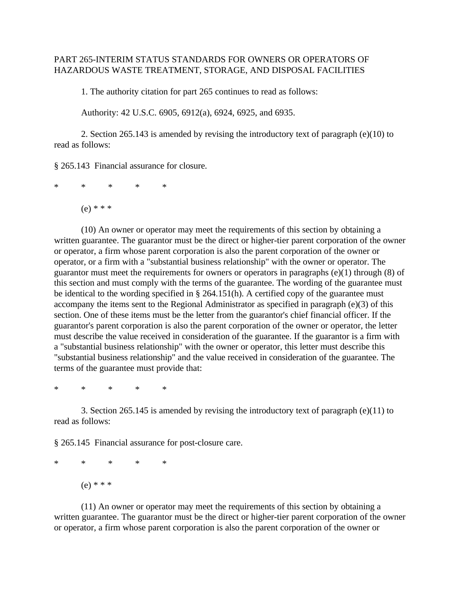## PART 265-INTERIM STATUS STANDARDS FOR OWNERS OR OPERATORS OF HAZARDOUS WASTE TREATMENT, STORAGE, AND DISPOSAL FACILITIES

1. The authority citation for part 265 continues to read as follows:

Authority: 42 U.S.C. 6905, 6912(a), 6924, 6925, and 6935.

2. Section 265.143 is amended by revising the introductory text of paragraph (e)(10) to read as follows:

§ 265.143 Financial assurance for closure.

\* \* \* \* \*

 $(e) * * *$ 

(10) An owner or operator may meet the requirements of this section by obtaining a written guarantee. The guarantor must be the direct or higher-tier parent corporation of the owner or operator, a firm whose parent corporation is also the parent corporation of the owner or operator, or a firm with a "substantial business relationship" with the owner or operator. The guarantor must meet the requirements for owners or operators in paragraphs (e)(1) through (8) of this section and must comply with the terms of the guarantee. The wording of the guarantee must be identical to the wording specified in § 264.151(h). A certified copy of the guarantee must accompany the items sent to the Regional Administrator as specified in paragraph (e)(3) of this section. One of these items must be the letter from the guarantor's chief financial officer. If the guarantor's parent corporation is also the parent corporation of the owner or operator, the letter must describe the value received in consideration of the guarantee. If the guarantor is a firm with a "substantial business relationship" with the owner or operator, this letter must describe this "substantial business relationship" and the value received in consideration of the guarantee. The terms of the guarantee must provide that:

\* \* \* \* \*

3. Section 265.145 is amended by revising the introductory text of paragraph (e)(11) to read as follows:

§ 265.145 Financial assurance for post-closure care.

\* \* \* \* \* (e) \* \* \*

(11) An owner or operator may meet the requirements of this section by obtaining a written guarantee. The guarantor must be the direct or higher-tier parent corporation of the owner or operator, a firm whose parent corporation is also the parent corporation of the owner or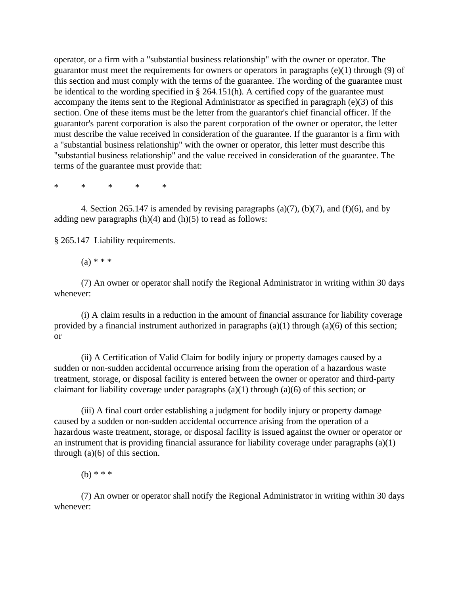operator, or a firm with a "substantial business relationship" with the owner or operator. The guarantor must meet the requirements for owners or operators in paragraphs (e)(1) through (9) of this section and must comply with the terms of the guarantee. The wording of the guarantee must be identical to the wording specified in § 264.151(h). A certified copy of the guarantee must accompany the items sent to the Regional Administrator as specified in paragraph (e)(3) of this section. One of these items must be the letter from the guarantor's chief financial officer. If the guarantor's parent corporation is also the parent corporation of the owner or operator, the letter must describe the value received in consideration of the guarantee. If the guarantor is a firm with a "substantial business relationship" with the owner or operator, this letter must describe this "substantial business relationship" and the value received in consideration of the guarantee. The terms of the guarantee must provide that:

\* \* \* \* \*

4. Section 265.147 is amended by revising paragraphs (a)(7), (b)(7), and (f)(6), and by adding new paragraphs  $(h)(4)$  and  $(h)(5)$  to read as follows:

§ 265.147 Liability requirements.

 $(a) * * *$ 

(7) An owner or operator shall notify the Regional Administrator in writing within 30 days whenever:

(i) A claim results in a reduction in the amount of financial assurance for liability coverage provided by a financial instrument authorized in paragraphs  $(a)(1)$  through  $(a)(6)$  of this section; or

(ii) A Certification of Valid Claim for bodily injury or property damages caused by a sudden or non-sudden accidental occurrence arising from the operation of a hazardous waste treatment, storage, or disposal facility is entered between the owner or operator and third-party claimant for liability coverage under paragraphs  $(a)(1)$  through  $(a)(6)$  of this section; or

(iii) A final court order establishing a judgment for bodily injury or property damage caused by a sudden or non-sudden accidental occurrence arising from the operation of a hazardous waste treatment, storage, or disposal facility is issued against the owner or operator or an instrument that is providing financial assurance for liability coverage under paragraphs (a)(1) through (a)(6) of this section.

(b) \* \* \*

(7) An owner or operator shall notify the Regional Administrator in writing within 30 days whenever: